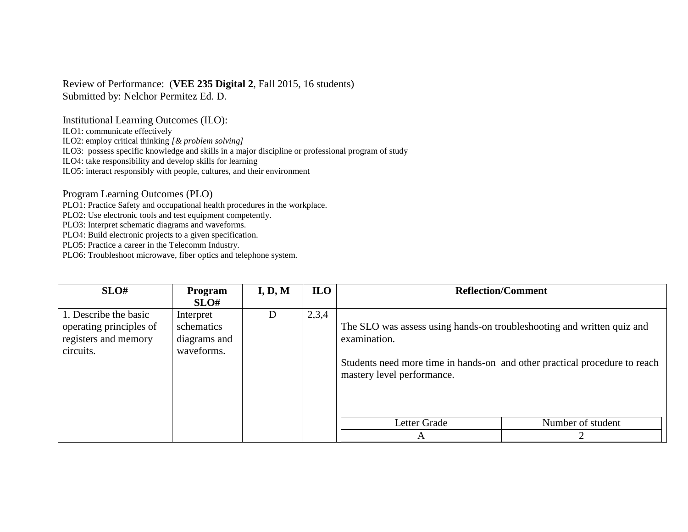## Review of Performance: (**VEE 235 Digital 2**, Fall 2015, 16 students) Submitted by: Nelchor Permitez Ed. D.

Institutional Learning Outcomes (ILO):

ILO1: communicate effectively

ILO2: employ critical thinking *[& problem solving]*

ILO3: possess specific knowledge and skills in a major discipline or professional program of study

ILO4: take responsibility and develop skills for learning

ILO5: interact responsibly with people, cultures, and their environment

Program Learning Outcomes (PLO)

PLO1: Practice Safety and occupational health procedures in the workplace.

PLO2: Use electronic tools and test equipment competently.

PLO3: Interpret schematic diagrams and waveforms.

PLO4: Build electronic projects to a given specification.

PLO5: Practice a career in the Telecomm Industry.

PLO6: Troubleshoot microwave, fiber optics and telephone system.

| SLO#                                                                                  | Program                                               | I, D, M | <b>ILO</b> |                                                                                                                                                                                                    | <b>Reflection/Comment</b> |
|---------------------------------------------------------------------------------------|-------------------------------------------------------|---------|------------|----------------------------------------------------------------------------------------------------------------------------------------------------------------------------------------------------|---------------------------|
|                                                                                       | SLO#                                                  |         |            |                                                                                                                                                                                                    |                           |
| 1. Describe the basic<br>operating principles of<br>registers and memory<br>circuits. | Interpret<br>schematics<br>diagrams and<br>waveforms. | D       | 2,3,4      | The SLO was assess using hands-on troubleshooting and written quiz and<br>examination.<br>Students need more time in hands-on and other practical procedure to reach<br>mastery level performance. |                           |
|                                                                                       |                                                       |         |            | Letter Grade                                                                                                                                                                                       | Number of student         |
|                                                                                       |                                                       |         |            | A                                                                                                                                                                                                  |                           |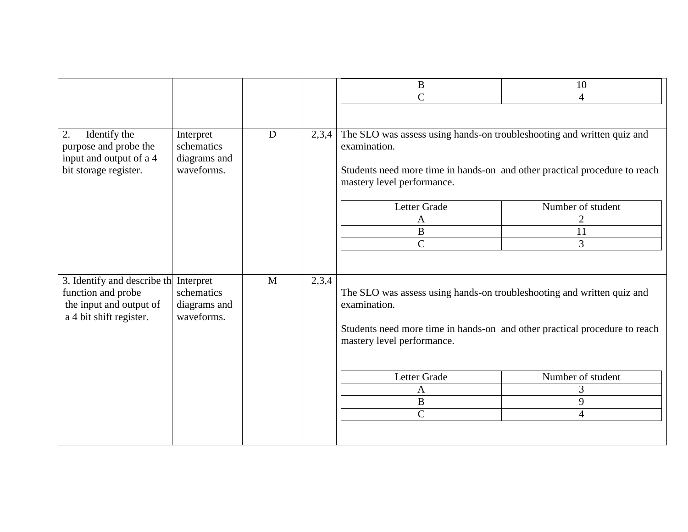|                                                                                                         |                                                       |   |       | B                                                                                                                                                                                                                                                 | 10                |  |
|---------------------------------------------------------------------------------------------------------|-------------------------------------------------------|---|-------|---------------------------------------------------------------------------------------------------------------------------------------------------------------------------------------------------------------------------------------------------|-------------------|--|
|                                                                                                         |                                                       |   |       | $\overline{C}$                                                                                                                                                                                                                                    | $\overline{4}$    |  |
|                                                                                                         |                                                       |   |       |                                                                                                                                                                                                                                                   |                   |  |
| 2.<br>Identify the<br>purpose and probe the<br>input and output of a 4<br>bit storage register.         | Interpret<br>schematics<br>diagrams and<br>waveforms. | D | 2,3,4 | The SLO was assess using hands-on troubleshooting and written quiz and<br>examination.<br>Students need more time in hands-on and other practical procedure to reach<br>mastery level performance.<br>Letter Grade<br>Number of student<br>2<br>A |                   |  |
|                                                                                                         |                                                       |   |       | $\boldsymbol{B}$                                                                                                                                                                                                                                  | 11                |  |
|                                                                                                         |                                                       |   |       | $\overline{\rm C}$                                                                                                                                                                                                                                | 3                 |  |
|                                                                                                         |                                                       |   |       |                                                                                                                                                                                                                                                   |                   |  |
| 3. Identify and describe th<br>function and probe<br>the input and output of<br>a 4 bit shift register. | Interpret<br>schematics<br>diagrams and<br>waveforms. | M | 2,3,4 | The SLO was assess using hands-on troubleshooting and written quiz and<br>examination.                                                                                                                                                            |                   |  |
|                                                                                                         |                                                       |   |       | Students need more time in hands-on and other practical procedure to reach<br>mastery level performance.                                                                                                                                          |                   |  |
|                                                                                                         |                                                       |   |       | Letter Grade                                                                                                                                                                                                                                      | Number of student |  |
|                                                                                                         |                                                       |   |       | $\mathbf{A}$                                                                                                                                                                                                                                      | 3                 |  |
|                                                                                                         |                                                       |   |       | B                                                                                                                                                                                                                                                 | 9                 |  |
|                                                                                                         |                                                       |   |       | $\overline{C}$                                                                                                                                                                                                                                    | $\overline{4}$    |  |
|                                                                                                         |                                                       |   |       |                                                                                                                                                                                                                                                   |                   |  |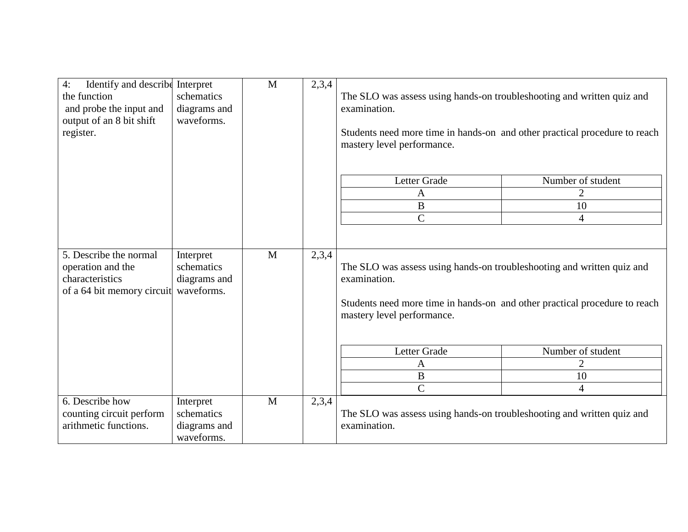| Identify and describe<br>4:<br>the function<br>and probe the input and<br>output of an 8 bit shift<br>register. | Interpret<br>schematics<br>diagrams and<br>waveforms. | $\mathbf{M}$ | 2,3,4 | The SLO was assess using hands-on troubleshooting and written quiz and<br>examination.<br>Students need more time in hands-on and other practical procedure to reach<br>mastery level performance. |                   |
|-----------------------------------------------------------------------------------------------------------------|-------------------------------------------------------|--------------|-------|----------------------------------------------------------------------------------------------------------------------------------------------------------------------------------------------------|-------------------|
|                                                                                                                 |                                                       |              |       | Letter Grade                                                                                                                                                                                       | Number of student |
|                                                                                                                 |                                                       |              |       | A                                                                                                                                                                                                  | $\overline{2}$    |
|                                                                                                                 |                                                       |              |       | $\, {\bf B}$                                                                                                                                                                                       | 10                |
|                                                                                                                 |                                                       |              |       | $\overline{C}$                                                                                                                                                                                     | $\overline{4}$    |
| 5. Describe the normal<br>operation and the<br>characteristics<br>of a 64 bit memory circuit                    | Interpret<br>schematics<br>diagrams and<br>waveforms. | M            | 2,3,4 | The SLO was assess using hands-on troubleshooting and written quiz and<br>examination.<br>Students need more time in hands-on and other practical procedure to reach<br>mastery level performance. |                   |
|                                                                                                                 |                                                       |              |       | Letter Grade                                                                                                                                                                                       | Number of student |
|                                                                                                                 |                                                       |              |       | A                                                                                                                                                                                                  | $\overline{2}$    |
|                                                                                                                 |                                                       |              |       | $\boldsymbol{B}$                                                                                                                                                                                   | 10                |
|                                                                                                                 |                                                       |              |       | $\overline{C}$                                                                                                                                                                                     | $\overline{4}$    |
| 6. Describe how<br>counting circuit perform<br>arithmetic functions.                                            | Interpret<br>schematics<br>diagrams and<br>waveforms. | M            | 2,3,4 | The SLO was assess using hands-on troubleshooting and written quiz and<br>examination.                                                                                                             |                   |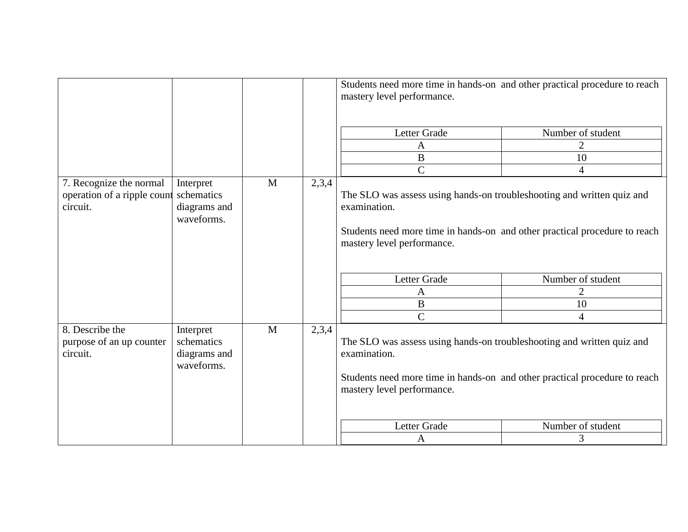|                                                                    |                                                       |                       |       | Students need more time in hands-on and other practical procedure to reach<br>mastery level performance.                                                                                           |                   |  |
|--------------------------------------------------------------------|-------------------------------------------------------|-----------------------|-------|----------------------------------------------------------------------------------------------------------------------------------------------------------------------------------------------------|-------------------|--|
|                                                                    |                                                       |                       |       | Letter Grade                                                                                                                                                                                       | Number of student |  |
|                                                                    |                                                       |                       |       | A                                                                                                                                                                                                  | $\overline{2}$    |  |
|                                                                    |                                                       |                       |       | $\bf{B}$                                                                                                                                                                                           | 10                |  |
|                                                                    |                                                       |                       |       | $\overline{C}$                                                                                                                                                                                     | $\overline{4}$    |  |
| 7. Recognize the normal<br>operation of a ripple count<br>circuit. | Interpret<br>schematics<br>diagrams and<br>waveforms. | 2,3,4<br>$\mathbf{M}$ |       | The SLO was assess using hands-on troubleshooting and written quiz and<br>examination.<br>Students need more time in hands-on and other practical procedure to reach<br>mastery level performance. |                   |  |
|                                                                    |                                                       |                       |       | Letter Grade                                                                                                                                                                                       | Number of student |  |
|                                                                    |                                                       |                       |       | $\mathbf{A}$                                                                                                                                                                                       | $\overline{2}$    |  |
|                                                                    |                                                       |                       |       | $\bf{B}$                                                                                                                                                                                           | 10                |  |
|                                                                    |                                                       |                       |       | $\overline{C}$                                                                                                                                                                                     | $\overline{4}$    |  |
| 8. Describe the<br>purpose of an up counter<br>circuit.            | Interpret<br>schematics<br>diagrams and<br>waveforms. | M                     | 2,3,4 | The SLO was assess using hands-on troubleshooting and written quiz and<br>examination.<br>Students need more time in hands-on and other practical procedure to reach<br>mastery level performance. |                   |  |
|                                                                    |                                                       |                       |       | Letter Grade                                                                                                                                                                                       | Number of student |  |
|                                                                    |                                                       |                       |       | $\mathbf{A}$                                                                                                                                                                                       | 3                 |  |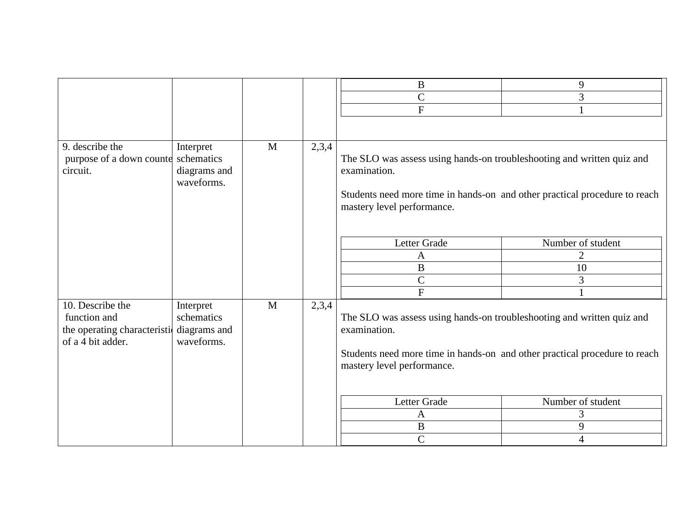|                                                                                      |                                                       |              |       | $\bf{B}$                                                                                                                                                                                           | 9                 |
|--------------------------------------------------------------------------------------|-------------------------------------------------------|--------------|-------|----------------------------------------------------------------------------------------------------------------------------------------------------------------------------------------------------|-------------------|
|                                                                                      |                                                       |              |       | $\mathsf C$                                                                                                                                                                                        | 3                 |
|                                                                                      |                                                       |              |       | ${\bf F}$                                                                                                                                                                                          |                   |
|                                                                                      |                                                       |              |       |                                                                                                                                                                                                    |                   |
| 9. describe the<br>purpose of a down counter schematics<br>circuit.                  | Interpret<br>diagrams and<br>waveforms.               | $\mathbf{M}$ | 2,3,4 | The SLO was assess using hands-on troubleshooting and written quiz and<br>examination.<br>Students need more time in hands-on and other practical procedure to reach<br>mastery level performance. |                   |
|                                                                                      |                                                       |              |       | Letter Grade                                                                                                                                                                                       | Number of student |
|                                                                                      |                                                       |              |       | A                                                                                                                                                                                                  | $\overline{2}$    |
|                                                                                      |                                                       |              |       | $\, {\bf B}$                                                                                                                                                                                       | 10                |
|                                                                                      |                                                       |              |       | $\overline{C}$                                                                                                                                                                                     | 3                 |
|                                                                                      |                                                       |              |       | $\mathbf F$                                                                                                                                                                                        |                   |
| 10. Describe the<br>function and<br>the operating characteristi<br>of a 4 bit adder. | Interpret<br>schematics<br>diagrams and<br>waveforms. | M            | 2,3,4 | The SLO was assess using hands-on troubleshooting and written quiz and<br>examination.<br>Students need more time in hands-on and other practical procedure to reach<br>mastery level performance. |                   |
|                                                                                      |                                                       |              |       | Letter Grade                                                                                                                                                                                       | Number of student |
|                                                                                      |                                                       |              |       | A                                                                                                                                                                                                  | 3                 |
|                                                                                      |                                                       |              |       | $\, {\bf B}$                                                                                                                                                                                       | 9                 |
|                                                                                      |                                                       |              |       | $\mathbf C$                                                                                                                                                                                        | $\overline{4}$    |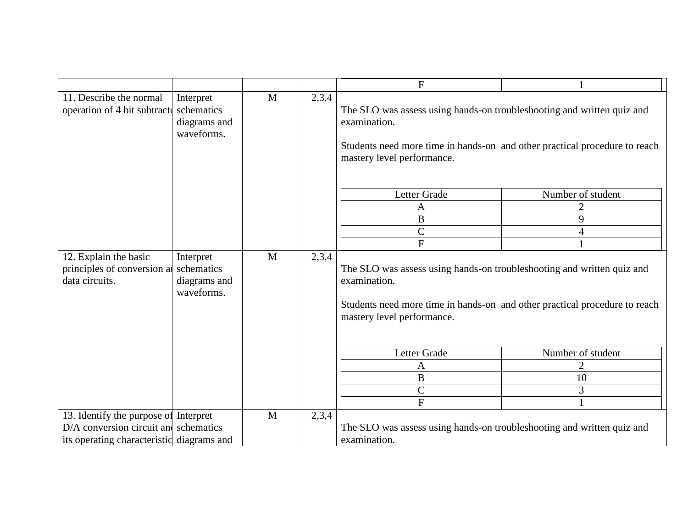|                                                                       |                                                       |   |       | $\mathbf{F}$                                                                                                                                                                                       |                          |  |
|-----------------------------------------------------------------------|-------------------------------------------------------|---|-------|----------------------------------------------------------------------------------------------------------------------------------------------------------------------------------------------------|--------------------------|--|
| 11. Describe the normal<br>operation of 4 bit subtractor              | Interpret<br>schematics<br>diagrams and<br>waveforms. | M | 2,3,4 | The SLO was assess using hands-on troubleshooting and written quiz and<br>examination.<br>Students need more time in hands-on and other practical procedure to reach<br>mastery level performance. |                          |  |
|                                                                       |                                                       |   |       | Letter Grade                                                                                                                                                                                       | Number of student        |  |
|                                                                       |                                                       |   |       | $\mathbf{A}$                                                                                                                                                                                       | $\overline{2}$           |  |
|                                                                       |                                                       |   |       | $\, {\bf B}$                                                                                                                                                                                       | 9                        |  |
|                                                                       |                                                       |   |       | $\mathcal{C}$                                                                                                                                                                                      | $\overline{\mathcal{A}}$ |  |
|                                                                       |                                                       |   |       | $\mathbf{F}$                                                                                                                                                                                       |                          |  |
| 12. Explain the basic<br>principles of conversion a<br>data circuits. | Interpret<br>schematics<br>diagrams and<br>waveforms. | M | 2,3,4 | The SLO was assess using hands-on troubleshooting and written quiz and<br>examination.<br>Students need more time in hands-on and other practical procedure to reach<br>mastery level performance. |                          |  |
|                                                                       |                                                       |   |       | Letter Grade                                                                                                                                                                                       | Number of student        |  |
|                                                                       |                                                       |   |       | $\mathbf{A}$                                                                                                                                                                                       | 2                        |  |
|                                                                       |                                                       |   |       | $\, {\bf B}$                                                                                                                                                                                       | 10                       |  |
|                                                                       |                                                       |   |       | $\mathcal{C}$                                                                                                                                                                                      | 3                        |  |
|                                                                       |                                                       |   |       | $\overline{F}$                                                                                                                                                                                     | $\mathbf{1}$             |  |
| 13. Identify the purpose of Interpret                                 |                                                       | M | 2,3,4 |                                                                                                                                                                                                    |                          |  |
| $D/A$ conversion circuit and schematics                               |                                                       |   |       | The SLO was assess using hands-on troubleshooting and written quiz and                                                                                                                             |                          |  |
| its operating characteristic diagrams and                             |                                                       |   |       | examination.                                                                                                                                                                                       |                          |  |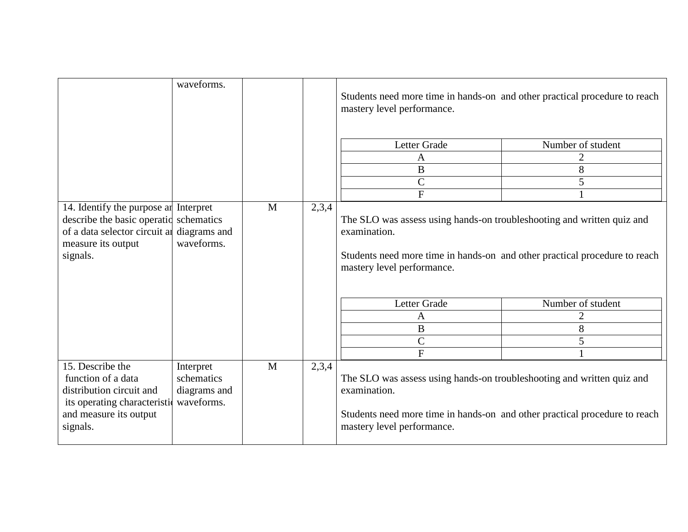|                                                                                                                                          | waveforms.                                            |              |       | Students need more time in hands-on and other practical procedure to reach<br>mastery level performance.                                                                                           |                                               |  |
|------------------------------------------------------------------------------------------------------------------------------------------|-------------------------------------------------------|--------------|-------|----------------------------------------------------------------------------------------------------------------------------------------------------------------------------------------------------|-----------------------------------------------|--|
|                                                                                                                                          |                                                       |              |       | Letter Grade<br>A<br>$\bf{B}$<br>$\mathcal{C}$<br>$\overline{F}$                                                                                                                                   | Number of student<br>$\overline{2}$<br>8<br>5 |  |
| 14. Identify the purpose an<br>describe the basic operatic<br>of a data selector circuit at<br>measure its output<br>signals.            | Interpret<br>schematics<br>diagrams and<br>waveforms. | M            | 2,3,4 | The SLO was assess using hands-on troubleshooting and written quiz and<br>examination.<br>Students need more time in hands-on and other practical procedure to reach<br>mastery level performance. |                                               |  |
|                                                                                                                                          |                                                       |              |       | Letter Grade<br>A<br>B<br>$\mathsf{C}$<br>$\overline{F}$                                                                                                                                           | Number of student<br>$\overline{2}$<br>8<br>5 |  |
| 15. Describe the<br>function of a data<br>distribution circuit and<br>its operating characteristic<br>and measure its output<br>signals. | Interpret<br>schematics<br>diagrams and<br>waveforms. | $\mathbf{M}$ | 2,3,4 | The SLO was assess using hands-on troubleshooting and written quiz and<br>examination.<br>Students need more time in hands-on and other practical procedure to reach<br>mastery level performance. |                                               |  |